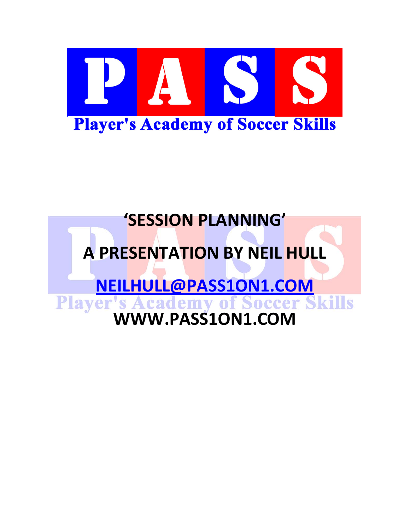

# **'SESSION PLANNING'**

# **A PRESENTATION BY NEIL HULL**

**[NEILHULL@PASS1ON1.COM](mailto:NEILHULL@PASS1ON1.COM) Player's Academy of Soccer Skills**<br>WWW.PASS1ON1.COM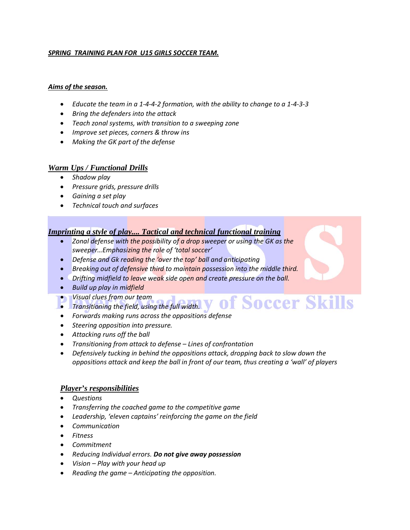#### *SPRING TRAINING PLAN FOR U15 GIRLS SOCCER TEAM.*

#### *Aims of the season.*

- *Educate the team in a 1-4-4-2 formation, with the ability to change to a 1-4-3-3*
- *Bring the defenders into the attack*
- *Teach zonal systems, with transition to a sweeping zone*
- *Improve set pieces, corners & throw ins*
- *Making the GK part of the defense*

#### *Warm Ups / Functional Drills*

- *Shadow play*
- *Pressure grids, pressure drills*
- *Gaining a set play*
- *Technical touch and surfaces*

#### *Imprinting a style of play.... Tactical and technical functional training*

- *Zonal defense with the possibility of a drop sweeper or using the GK as the sweeper…Emphasizing the role of 'total soccer'*
- *Defense and Gk reading the 'over the top' ball and anticipating*
- *Breaking out of defensive third to maintain possession into the middle third.*
- *Drifting midfield to leave weak side open and create pressure on the ball.*
- *Build up play in midfield*
- *Visual clues from our team*
- **•** *Transitioning the field, using the full width.* **y** Of Soccer Skills
- *Forwards making runs across the oppositions defense*
- *Steering opposition into pressure.*
- *Attacking runs off the ball*
- *Transitioning from attack to defense – Lines of confrontation*
- *Defensively tucking in behind the oppositions attack, dropping back to slow down the oppositions attack and keep the ball in front of our team, thus creating a 'wall' of players*

#### *Player's responsibilities*

- *Questions*
- *Transferring the coached game to the competitive game*
- *Leadership, 'eleven captains' reinforcing the game on the field*
- *Communication*
- *Fitness*
- *Commitment*
- *Reducing Individual errors. Do not give away possession*
- *Vision – Play with your head up*
- *Reading the game – Anticipating the opposition.*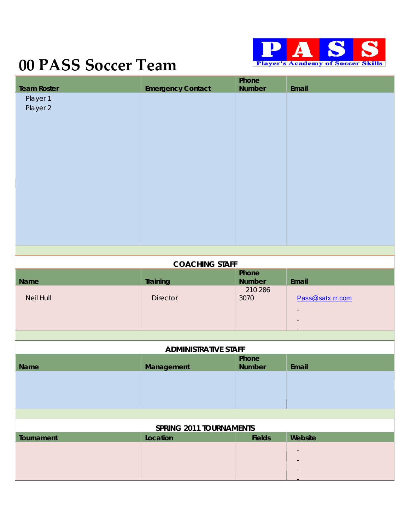

# **00 PASS Soccer Team**

| <b>Team Roster</b>             | <b>Emergency Contact</b>    | Phone<br><b>Number</b> | Email            |
|--------------------------------|-----------------------------|------------------------|------------------|
| Player 1<br>Player 2           |                             |                        |                  |
|                                | <b>COACHING STAFF</b>       |                        |                  |
| Name                           | Training                    | Phone<br><b>Number</b> | Email            |
| Neil Hull                      | <b>Director</b>             | 210 286<br>3070        | Pass@satx.rr.com |
|                                | <b>ADMINISTRATIVE STAFF</b> |                        |                  |
|                                |                             | Phone                  |                  |
| Name                           | Management                  | Number                 | Email            |
| <b>SPRING 2011 TOURNAMENTS</b> |                             |                        |                  |
| Tournament                     | Location                    | <b>Fields</b>          | Website          |
|                                |                             |                        |                  |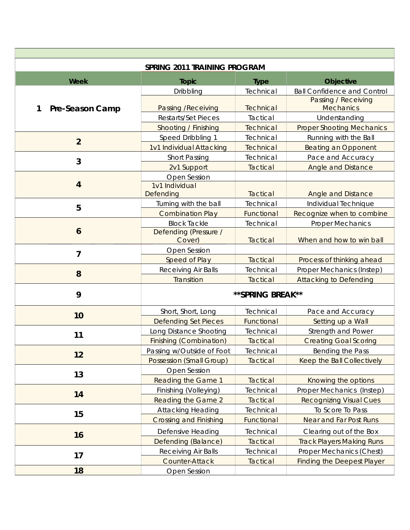| SPRING 2011 TRAINING PROGRAM |                                 |                  |                                         |
|------------------------------|---------------------------------|------------------|-----------------------------------------|
| Week                         | <b>Topic</b>                    | <b>Type</b>      | <b>Objective</b>                        |
|                              | Dribbling                       | Technical        | <b>Ball Confidence and Control</b>      |
| Pre-Season Camp<br>1         | Passing / Receiving             | Technical        | Passing / Receiving<br><b>Mechanics</b> |
|                              | Restarts/Set Pieces             | Tactical         | Understanding                           |
|                              | Shooting / Finishing            | <b>Technical</b> | <b>Proper Shooting Mechanics</b>        |
| $\overline{2}$               | Speed Dribbling 1               | Technical        | Running with the Ball                   |
|                              | 1v1 Individual Attacking        | <b>Technical</b> | <b>Beating an Opponent</b>              |
| $\mathbf{3}$                 | <b>Short Passing</b>            | Technical        | Pace and Accuracy                       |
|                              | 2v1 Support                     | Tactical         | <b>Angle and Distance</b>               |
|                              | Open Session                    |                  |                                         |
| $\overline{4}$               | 1v1 Individual                  |                  |                                         |
|                              | Defending                       | <b>Tactical</b>  | <b>Angle and Distance</b>               |
| 5                            | Turning with the ball           | Technical        | Individual Technique                    |
|                              | <b>Combination Play</b>         | Functional       | Recognize when to combine               |
|                              | <b>Block Tackle</b>             | Technical        | <b>Proper Mechanics</b>                 |
| 6                            | Defending (Pressure /<br>Cover) | <b>Tactical</b>  | When and how to win ball                |
| 7                            | Open Session                    |                  |                                         |
|                              | Speed of Play                   | <b>Tactical</b>  | Process of thinking ahead               |
| 8                            | Receiving Air Balls             | Technical        | Proper Mechanics (Instep)               |
|                              | Transition                      | Tactical         | <b>Attacking to Defending</b>           |
| 9                            | ** SPRING BREAK**               |                  |                                         |
| 10                           | Short, Short, Long              | Technical        | Pace and <b>Accuracy</b>                |
|                              | <b>Defending Set Pieces</b>     | Functional       | Setting up a Wall                       |
| 11                           | Long Distance Shooting          | Technical        | Strength and Power                      |
|                              | <b>Finishing (Combination)</b>  | <b>Tactical</b>  | <b>Creating Goal Scoring</b>            |
|                              | Passing w/Outside of Foot       | Technical        | Bending the Pass                        |
| 12                           | <b>Possession (Small Group)</b> | <b>Tactical</b>  | Keep the Ball Collectively              |
|                              | Open Session                    |                  |                                         |
| 13                           | <b>Reading the Game 1</b>       | <b>Tactical</b>  | Knowing the options                     |
|                              | Finishing (Volleying)           | Technical        | Proper Mechanics (Instep)               |
| 14                           | <b>Reading the Game 2</b>       | <b>Tactical</b>  | <b>Recognizing Visual Cues</b>          |
|                              | <b>Attacking Heading</b>        | Technical        | To Score To Pass                        |
| 15                           | <b>Crossing and Finishing</b>   | Functional       | Near and Far Post Runs                  |
|                              | Defensive Heading               | Technical        | Clearing out of the Box                 |
| 16                           | Defending (Balance)             | <b>Tactical</b>  | <b>Track Players Making Runs</b>        |
|                              | Receiving Air Balls             | Technical        | Proper Mechanics (Chest)                |
| 17                           | Counter-Attack                  | Tactical         | <b>Finding the Deepest Player</b>       |
| 18                           | Open Session                    |                  |                                         |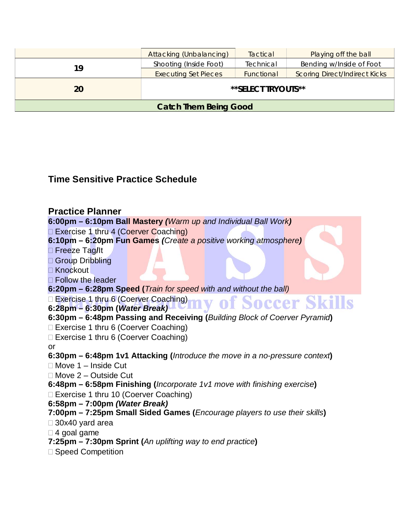|                              | Attacking (Unbalancing)     | Tactical   | Playing off the ball                 |
|------------------------------|-----------------------------|------------|--------------------------------------|
| 19                           | Shooting (Inside Foot)      | Technical  | Bending w/Inside of Foot             |
|                              | <b>Executing Set Pieces</b> | Functional | <b>Scoring Direct/Indirect Kicks</b> |
| 20                           | **SELECT TRYOUTS**          |            |                                      |
| <b>Catch Them Being Good</b> |                             |            |                                      |

# **Time Sensitive Practice Schedule**

**Practice Planner 6:00pm – 6:10pm Ball Mastery** *(Warm up and Individual Ball Work)* Exercise 1 thru 4 (Coerver Coaching) **6:10pm – 6:20pm Fun Games** *(Create a positive working atmosphere)* Freeze Tag**/**It □ Group Dribbling **□ Knockout** □ Follow the leader **6:20pm – 6:28pm Speed (***Train for speed with and without the ball)* □ Exercise 1 thru 6 (Coerver Coaching) **Soccer Skills** OH **6:28pm – 6:30pm (***Water Break)* **6:30pm – 6:48pm Passing and Receiving (***Building Block of Coerver Pyramid***)** □ Exercise 1 thru 6 (Coerver Coaching) □ Exercise 1 thru 6 (Coerver Coaching) or **6:30pm – 6:48pm 1v1 Attacking (***Introduce the move in a no-pressure context***)**  $\Box$  Move 1 – Inside Cut □ Move 2 – Outside Cut **6:48pm – 6:58pm Finishing (***Incorporate 1v1 move with finishing exercise***)**

□ Exercise 1 thru 10 (Coerver Coaching)

**6:58pm – 7:00pm** *(Water Break)*

# **7:00pm – 7:25pm Small Sided Games (***Encourage players to use their skills***)**

30x40 yard area

- $\Box$  4 goal game
- **7:25pm – 7:30pm Sprint (***An uplifting way to end practice***)**
- □ Speed Competition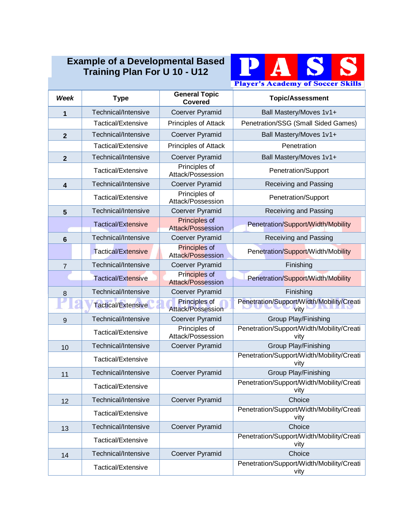# **Example of a Developmental Based Training Plan For U 10 - U12**



| Week           | <b>Type</b>         | <b>General Topic</b><br><b>Covered</b>           | <b>Topic/Assessment</b>                           |
|----------------|---------------------|--------------------------------------------------|---------------------------------------------------|
| 1              | Technical/Intensive | Coerver Pyramid                                  | Ball Mastery/Moves 1v1+                           |
|                | Tactical/Extensive  | Principles of Attack                             | Penetration/SSG (Small Sided Games)               |
| $\overline{2}$ | Technical/Intensive | <b>Coerver Pyramid</b>                           | Ball Mastery/Moves 1v1+                           |
|                | Tactical/Extensive  | Principles of Attack                             | Penetration                                       |
| $\overline{2}$ | Technical/Intensive | Coerver Pyramid                                  | Ball Mastery/Moves 1v1+                           |
|                | Tactical/Extensive  | Principles of<br>Attack/Possession               | Penetration/Support                               |
| 4              | Technical/Intensive | <b>Coerver Pyramid</b>                           | Receiving and Passing                             |
|                | Tactical/Extensive  | Principles of<br>Attack/Possession               | Penetration/Support                               |
| 5              | Technical/Intensive | Coerver Pyramid                                  | Receiving and Passing                             |
|                | Tactical/Extensive  | Principles of<br>Attack/Possession               | Penetration/Support/Width/Mobility                |
| $6\phantom{1}$ | Technical/Intensive | Coerver Pyramid                                  | Receiving and Passing                             |
|                | Tactical/Extensive  | Principles of<br>Attack/Possession               | Penetration/Support/Width/Mobility                |
| $\overline{7}$ | Technical/Intensive | Coerver Pyramid                                  | Finishing                                         |
|                | Tactical/Extensive  | Principles of<br><b>Attack/Possession</b>        | Penetration/Support/Width/Mobility                |
| 8              | Technical/Intensive | Coerver Pyramid                                  | Finishing                                         |
|                | Tactical/Extensive  | <b>Principles of</b><br><b>Attack/Possession</b> | Penetration/Support/Width/Mobility/Creati<br>vitv |
| 9              | Technical/Intensive | Coerver Pyramid                                  | Group Play/Finishing                              |
|                | Tactical/Extensive  | Principles of<br>Attack/Possession               | Penetration/Support/Width/Mobility/Creati<br>vitv |
| 10             | Technical/Intensive | Coerver Pyramid                                  | <b>Group Play/Finishing</b>                       |
|                | Tactical/Extensive  |                                                  | Penetration/Support/Width/Mobility/Creati<br>vity |
| 11             | Technical/Intensive | <b>Coerver Pyramid</b>                           | Group Play/Finishing                              |
|                | Tactical/Extensive  |                                                  | Penetration/Support/Width/Mobility/Creati<br>vity |
| 12             | Technical/Intensive | Coerver Pyramid                                  | Choice                                            |
|                | Tactical/Extensive  |                                                  | Penetration/Support/Width/Mobility/Creati<br>vity |
| 13             | Technical/Intensive | Coerver Pyramid                                  | Choice                                            |
|                | Tactical/Extensive  |                                                  | Penetration/Support/Width/Mobility/Creati<br>vity |
| 14             | Technical/Intensive | Coerver Pyramid                                  | Choice                                            |
|                | Tactical/Extensive  |                                                  | Penetration/Support/Width/Mobility/Creati<br>vity |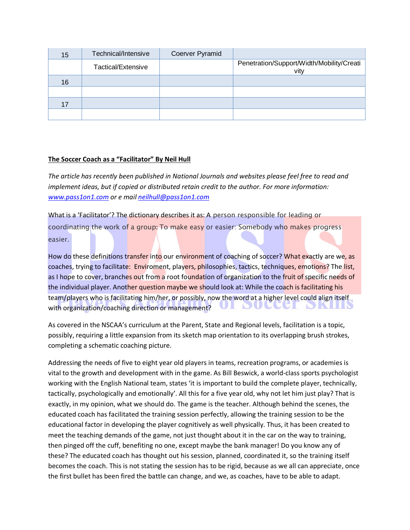| 15 | Technical/Intensive | Coerver Pyramid |                                                   |
|----|---------------------|-----------------|---------------------------------------------------|
|    | Tactical/Extensive  |                 | Penetration/Support/Width/Mobility/Creati<br>vity |
| 16 |                     |                 |                                                   |
|    |                     |                 |                                                   |
| 17 |                     |                 |                                                   |
|    |                     |                 |                                                   |

#### **The Soccer Coach as a "Facilitator" By Neil Hull**

*The article has recently been published in National Journals and websites please feel free to read and implement ideas, but if copied or distributed retain credit to the author. For more information: [www.pass1on1.com](http://www.pass1on1.com/) or e mai[l neilhull@pass1on1.com](mailto:neilhull@pass1on1.com)*

What is a 'Facilitator'? The dictionary describes it as: A person responsible for leading or coordinating the work of a group: To make easy or easier: Somebody who makes progress easier.

How do these definitions transfer into our environment of coaching of soccer? What exactly are we, as coaches, trying to facilitate: Enviroment, players, philosophies, tactics, techniques, emotions? The list, as I hope to cover, branches out from a root foundation of organization to the fruit of specific needs of the individual player. Another question maybe we should look at: While the coach is facilitating his team/players who is facilitating him/her, or possibly, now the word at a higher level could align itself Л DUC with organization/coaching direction or management?

As covered in the NSCAA's curriculum at the Parent, State and Regional levels, facilitation is a topic, possibly, requiring a little expansion from its sketch map orientation to its overlapping brush strokes, completing a schematic coaching picture.

Addressing the needs of five to eight year old players in teams, recreation programs, or academies is vital to the growth and development with in the game. As Bill Beswick, a world-class sports psychologist working with the English National team, states 'it is important to build the complete player, technically, tactically, psychologically and emotionally'. All this for a five year old, why not let him just play? That is exactly, in my opinion, what we should do. The game is the teacher. Although behind the scenes, the educated coach has facilitated the training session perfectly, allowing the training session to be the educational factor in developing the player cognitively as well physically. Thus, it has been created to meet the teaching demands of the game, not just thought about it in the car on the way to training, then pinged off the cuff, benefiting no one, except maybe the bank manager! Do you know any of these? The educated coach has thought out his session, planned, coordinated it, so the training itself becomes the coach. This is not stating the session has to be rigid, because as we all can appreciate, once the first bullet has been fired the battle can change, and we, as coaches, have to be able to adapt.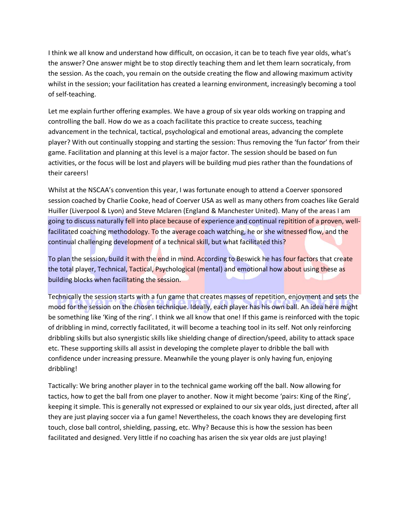I think we all know and understand how difficult, on occasion, it can be to teach five year olds, what's the answer? One answer might be to stop directly teaching them and let them learn socraticaly, from the session. As the coach, you remain on the outside creating the flow and allowing maximum activity whilst in the session; your facilitation has created a learning environment, increasingly becoming a tool of self-teaching.

Let me explain further offering examples. We have a group of six year olds working on trapping and controlling the ball. How do we as a coach facilitate this practice to create success, teaching advancement in the technical, tactical, psychological and emotional areas, advancing the complete player? With out continually stopping and starting the session: Thus removing the 'fun factor' from their game. Facilitation and planning at this level is a major factor. The session should be based on fun activities, or the focus will be lost and players will be building mud pies rather than the foundations of their careers!

Whilst at the NSCAA's convention this year, I was fortunate enough to attend a Coerver sponsored session coached by Charlie Cooke, head of Coerver USA as well as many others from coaches like Gerald Huiller (Liverpool & Lyon) and Steve Mclaren (England & Manchester United). Many of the areas I am going to discuss naturally fell into place because of experience and continual repitition of a proven, wellfacilitated coaching methodology. To the average coach watching, he or she witnessed flow, and the continual challenging development of a technical skill, but what facilitated this?

To plan the session, build it with the end in mind. According to Beswick he has four factors that create the total player, Technical, Tactical, Psychological (mental) and emotional how about using these as building blocks when facilitating the session.

Technically the session starts with a fun game that creates masses of repetition, enjoyment and sets the mood for the session on the chosen technique. Ideally, each player has his own ball. An idea here might be something like 'King of the ring'. I think we all know that one! If this game is reinforced with the topic of dribbling in mind, correctly facilitated, it will become a teaching tool in its self. Not only reinforcing dribbling skills but also synergistic skills like shielding change of direction/speed, ability to attack space etc. These supporting skills all assist in developing the complete player to dribble the ball with confidence under increasing pressure. Meanwhile the young player is only having fun, enjoying dribbling!

Tactically: We bring another player in to the technical game working off the ball. Now allowing for tactics, how to get the ball from one player to another. Now it might become 'pairs: King of the Ring', keeping it simple. This is generally not expressed or explained to our six year olds, just directed, after all they are just playing soccer via a fun game! Nevertheless, the coach knows they are developing first touch, close ball control, shielding, passing, etc. Why? Because this is how the session has been facilitated and designed. Very little if no coaching has arisen the six year olds are just playing!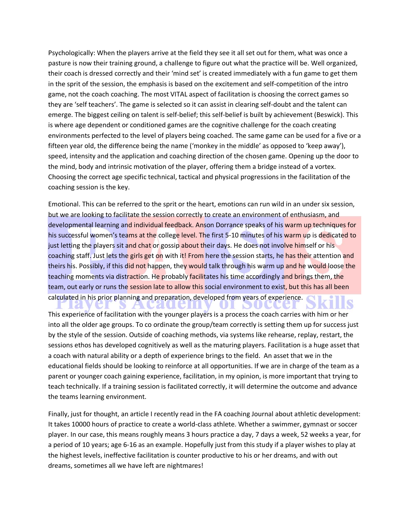Psychologically: When the players arrive at the field they see it all set out for them, what was once a pasture is now their training ground, a challenge to figure out what the practice will be. Well organized, their coach is dressed correctly and their 'mind set' is created immediately with a fun game to get them in the sprit of the session, the emphasis is based on the excitement and self-competition of the intro game, not the coach coaching. The most VITAL aspect of facilitation is choosing the correct games so they are 'self teachers'. The game is selected so it can assist in clearing self-doubt and the talent can emerge. The biggest ceiling on talent is self-belief; this self-belief is built by achievement (Beswick). This is where age dependent or conditioned games are the cognitive challenge for the coach creating environments perfected to the level of players being coached. The same game can be used for a five or a fifteen year old, the difference being the name ('monkey in the middle' as opposed to 'keep away'), speed, intensity and the application and coaching direction of the chosen game. Opening up the door to the mind, body and intrinsic motivation of the player, offering them a bridge instead of a vortex. Choosing the correct age specific technical, tactical and physical progressions in the facilitation of the coaching session is the key.

Emotional. This can be referred to the sprit or the heart, emotions can run wild in an under six session, but we are looking to facilitate the session correctly to create an environment of enthusiasm, and developmental learning and individual feedback. Anson Dorrance speaks of his warm up techniques for his successful women's teams at the college level. The first 5-10 minutes of his warm up is dedicated to just letting the players sit and chat or gossip about their days. He does not involve himself or his coaching staff. Just lets the girls get on with it! From here the session starts, he has their attention and theirs his. Possibly, if this did not happen, they would talk through his warm up and he would loose the teaching moments via distraction. He probably facilitates his time accordingly and brings them, the team, out early or runs the session late to allow this social environment to exist, but this has all been calculated in his prior planning and preparation, developed from years of experience.

**TEXTULE** 

This experience of facilitation with the younger players is a process the coach carries with him or her into all the older age groups. To co ordinate the group/team correctly is setting them up for success just by the style of the session. Outside of coaching methods, via systems like rehearse, replay, restart, the sessions ethos has developed cognitively as well as the maturing players. Facilitation is a huge asset that a coach with natural ability or a depth of experience brings to the field. An asset that we in the educational fields should be looking to reinforce at all opportunities. If we are in charge of the team as a parent or younger coach gaining experience, facilitation, in my opinion, is more important that trying to teach technically. If a training session is facilitated correctly, it will determine the outcome and advance the teams learning environment.

**A** 

Finally, just for thought, an article I recently read in the FA coaching Journal about athletic development: It takes 10000 hours of practice to create a world-class athlete. Whether a swimmer, gymnast or soccer player. In our case, this means roughly means 3 hours practice a day, 7 days a week, 52 weeks a year, for a period of 10 years; age 6-16 as an example. Hopefully just from this study if a player wishes to play at the highest levels, ineffective facilitation is counter productive to his or her dreams, and with out dreams, sometimes all we have left are nightmares!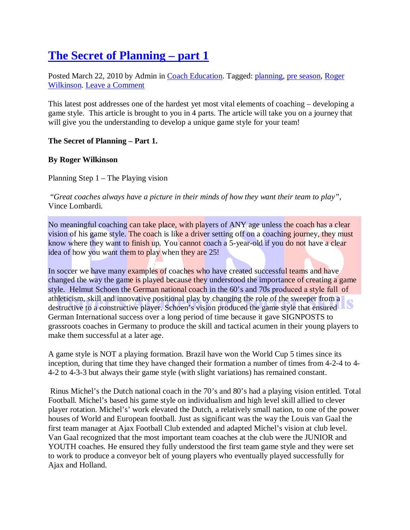# **[The Secret of Planning –](http://keeptheball.wordpress.com/2010/03/22/the-secret-of-planning-part-1/) part 1**

Posted March 22, 2010 by Admin in [Coach Education.](http://en.wordpress.com/tag/coach-education/) Tagged: [planning,](http://en.wordpress.com/tag/planning/) [pre season,](http://en.wordpress.com/tag/pre-season/) [Roger](http://en.wordpress.com/tag/roger-wilkinson/)  [Wilkinson.](http://en.wordpress.com/tag/roger-wilkinson/) [Leave a Comment](http://keeptheball.wordpress.com/2010/03/22/the-secret-of-planning-part-1/#respond)

This latest post addresses one of the hardest yet most vital elements of coaching – developing a game style. This article is brought to you in 4 parts. The article will take you on a journey that will give you the understanding to develop a unique game style for your team!

## **The Secret of Planning – Part 1.**

## **By Roger Wilkinson**

Planning Step 1 – The Playing vision

"*Great coaches always have a picture in their minds of how they want their team to play",* Vince Lombardi.

No meaningful coaching can take place, with players of ANY age unless the coach has a clear vision of his game style. The coach is like a driver setting off on a coaching journey, they must know where they want to finish up. You cannot coach a 5-year-old if you do not have a clear idea of how you want them to play when they are 25!

In soccer we have many examples of coaches who have created successful teams and have changed the way the game is played because they understood the importance of creating a game style. Helmut Schoen the German national coach in the 60's and 70s produced a style full of athleticism, skill and innovative positional play by changing the role of the sweeper from a destructive to a constructive player. Schoen's vision produced the game style that ensured German International success over a long period of time because it gave SIGNPOSTS to grassroots coaches in Germany to produce the skill and tactical acumen in their young players to make them successful at a later age.

A game style is NOT a playing formation. Brazil have won the World Cup 5 times since its inception, during that time they have changed their formation a number of times from 4-2-4 to 4- 4-2 to 4-3-3 but always their game style (with slight variations) has remained constant.

Rinus Michel's the Dutch national coach in the 70's and 80's had a playing vision entitled. Total Football. Michel's based his game style on individualism and high level skill allied to clever player rotation. Michel's' work elevated the Dutch, a relatively small nation, to one of the power houses of World and European football. Just as significant was the way the Louis van Gaal the first team manager at Ajax Football Club extended and adapted Michel's vision at club level. Van Gaal recognized that the most important team coaches at the club were the JUNIOR and YOUTH coaches. He ensured they fully understood the first team game style and they were set to work to produce a conveyor belt of young players who eventually played successfully for Ajax and Holland.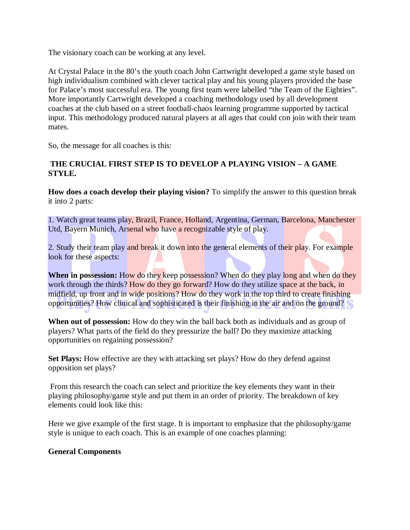The visionary coach can be working at any level.

At Crystal Palace in the 80's the youth coach John Cartwright developed a game style based on high individualism combined with clever tactical play and his young players provided the base for Palace's most successful era. The young first team were labelled "the Team of the Eighties". More importantly Cartwright developed a coaching methodology used by all development coaches at the club based on a street football-chaos learning programme supported by tactical input. This methodology produced natural players at all ages that could con join with their team mates.

So, the message for all coaches is this:

## **THE CRUCIAL FIRST STEP IS TO DEVELOP A PLAYING VISION – A GAME STYLE.**

**How does a coach develop their playing vision?** To simplify the answer to this question break it into 2 parts:

1. Watch great teams play, Brazil, France, Holland, Argentina, German, Barcelona, Manchester Utd, Bayern Munich, Arsenal who have a recognizable style of play.

2. Study their team play and break it down into the general elements of their play. For example look for these aspects:

When in possession: How do they keep possession? When do they play long and when do they work through the thirds? How do they go forward? How do they utilize space at the back, in midfield, up front and in wide positions? How do they work in the top third to create finishing opportunities? How clinical and sophisticated is their finishing in the air and on the ground?

**When out of possession:** How do they win the ball back both as individuals and as group of players? What parts of the field do they pressurize the ball? Do they maximize attacking opportunities on regaining possession?

**Set Plays:** How effective are they with attacking set plays? How do they defend against opposition set plays?

From this research the coach can select and prioritize the key elements they want in their playing philosophy/game style and put them in an order of priority. The breakdown of key elements could look like this:

Here we give example of the first stage. It is important to emphasize that the philosophy/game style is unique to each coach. This is an example of one coaches planning:

## **General Components**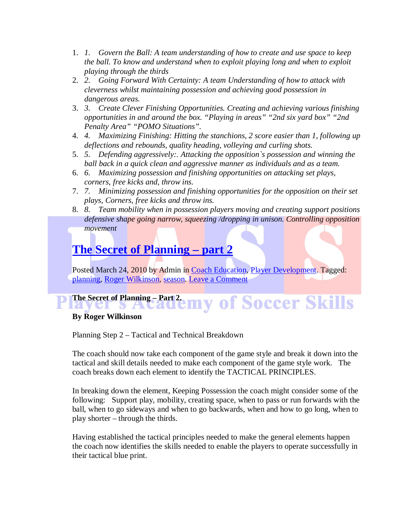- 1. *1. Govern the Ball: A team understanding of how to create and use space to keep the ball. To know and understand when to exploit playing long and when to exploit playing through the thirds*
- 2. *2. Going Forward With Certainty: A team Understanding of how to attack with cleverness whilst maintaining possession and achieving good possession in dangerous areas.*
- 3. *3. Create Clever Finishing Opportunities. Creating and achieving various finishing opportunities in and around the box. "Playing in areas" "2nd six yard box" "2nd Penalty Area" "POMO Situations".*
- 4. *4. Maximizing Finishing: Hitting the stanchions, 2 score easier than 1, following up deflections and rebounds, quality heading, volleying and curling shots.*
- 5. *5. Defending aggressively:. Attacking the opposition`s possession and winning the ball back in a quick clean and aggressive manner as individuals and as a team.*
- 6. *6. Maximizing possession and finishing opportunities on attacking set plays, corners, free kicks and, throw ins.*
- 7. *7. Minimizing possession and finishing opportunities for the opposition on their set plays, Corners, free kicks and throw ins.*
- 8. *8. Team mobility when in possession players moving and creating support positions defensive shape going narrow, squeezing /dropping in unison. Controlling opposition movement*

# **[The Secret of Planning –](http://keeptheball.wordpress.com/2010/03/24/the-secret-of-planning-part-2/) part 2**

Posted March 24, 2010 by Admin in [Coach Education,](http://en.wordpress.com/tag/coach-education/) [Player Development.](http://en.wordpress.com/tag/player-development/) Tagged: [planning,](http://en.wordpress.com/tag/planning/) [Roger Wilkinson,](http://en.wordpress.com/tag/roger-wilkinson/) [season.](http://en.wordpress.com/tag/season/) [Leave a Comment](http://keeptheball.wordpress.com/2010/03/24/the-secret-of-planning-part-2/#respond)

## The Secret of Planning – Part 2. my of Soccer Skills  $\overline{1}$ **By Roger Wilkinson**

Planning Step 2 – Tactical and Technical Breakdown

The coach should now take each component of the game style and break it down into the tactical and skill details needed to make each component of the game style work. The coach breaks down each element to identify the TACTICAL PRINCIPLES.

In breaking down the element, Keeping Possession the coach might consider some of the following: Support play, mobility, creating space, when to pass or run forwards with the ball, when to go sideways and when to go backwards, when and how to go long, when to play shorter – through the thirds.

Having established the tactical principles needed to make the general elements happen the coach now identifies the skills needed to enable the players to operate successfully in their tactical blue print.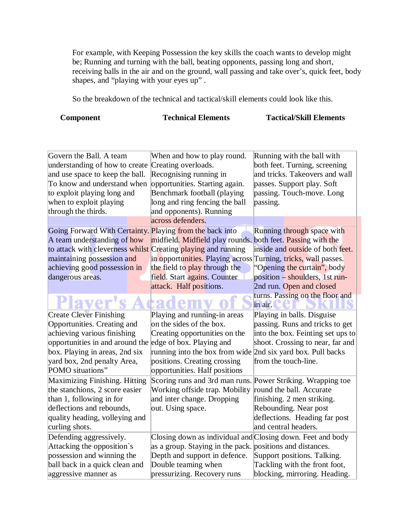For example, with Keeping Possession the key skills the coach wants to develop might be; Running and turning with the ball, beating opponents, passing long and short, receiving balls in the air and on the ground, wall passing and take over's, quick feet, body shapes, and "playing with your eyes up".

So the breakdown of the technical and tactical/skill elements could look like this.

**Component Technical Elements Tactical/Skill Elements**

| Govern the Ball. A team                                       | When and how to play round.                                    | Running with the ball with        |
|---------------------------------------------------------------|----------------------------------------------------------------|-----------------------------------|
| understanding of how to create                                | Creating overloads.                                            | both feet. Turning, screening     |
| and use space to keep the ball.                               | Recognising running in                                         | and tricks. Takeovers and wall    |
| To know and understand when                                   | opportunities. Starting again.                                 | passes. Support play. Soft        |
| to exploit playing long and                                   | Benchmark football (playing                                    | passing. Touch-move. Long         |
| when to exploit playing                                       | long and ring fencing the ball                                 | passing.                          |
| through the thirds.                                           | and opponents). Running                                        |                                   |
|                                                               | across defenders.                                              |                                   |
| Going Forward With Certainty. Playing from the back into      |                                                                | Running through space with        |
| A team understanding of how                                   | midfield. Midfield play rounds. both feet. Passing with the    |                                   |
| to attack with cleverness whilst Creating playing and running |                                                                | inside and outside of both feet.  |
| maintaining possession and                                    | in opportunities. Playing across Turning, tricks, wall passes. |                                   |
| achieving good possession in                                  | the field to play through the                                  | "Opening the curtain", body       |
| dangerous areas.                                              | field. Start agains. Counter                                   | position – shoulders, 1st run-    |
|                                                               | attack. Half positions.                                        | 2nd run. Open and closed          |
|                                                               |                                                                | turns. Passing on the floor and   |
| Plaver'                                                       |                                                                | in air.                           |
| <b>Create Clever Finishing</b>                                | Playing and running-in areas                                   | Playing in balls. Disguise        |
| Opportunities. Creating and                                   | on the sides of the box.                                       | passing. Runs and tricks to get   |
| achieving various finishing                                   | Creating opportunities on the                                  | into the box. Feinting set ups to |
| opportunities in and around the                               | edge of box. Playing and                                       | shoot. Crossing to near, far and  |
| box. Playing in areas, 2nd six                                | running into the box from wide 2nd six yard box. Pull backs    |                                   |
| yard box, 2nd penalty Area,                                   | positions. Creating crossing                                   | from the touch-line.              |
| POMO situations"                                              | opportunities. Half positions                                  |                                   |
| Maximizing Finishing. Hitting                                 | Scoring runs and 3rd man runs. Power Striking. Wrapping toe    |                                   |
| the stanchions, 2 score easier                                | Working offside trap. Mobility                                 | round the ball. Accurate          |
| than 1, following in for                                      | and inter change. Dropping                                     | finishing. 2 men striking.        |
| deflections and rebounds,                                     | out. Using space.                                              | Rebounding. Near post             |
| quality heading, volleying and                                |                                                                | deflections. Heading far post     |
| curling shots.                                                |                                                                | and central headers.              |
| Defending aggressively.                                       | Closing down as individual and Closing down. Feet and body     |                                   |
| Attacking the opposition's                                    | as a group. Staying in the pack. positions and distances.      |                                   |
| possession and winning the                                    | Depth and support in defence.                                  | Support positions. Talking.       |
| ball back in a quick clean and                                | Double teaming when                                            | Tackling with the front foot,     |
| aggressive manner as                                          | pressurizing. Recovery runs                                    | blocking, mirroring. Heading.     |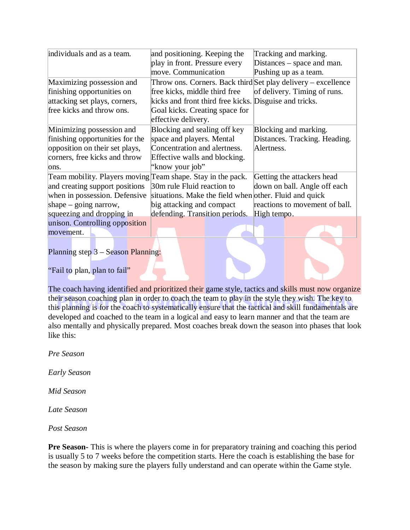| individuals and as a team.                                  | and positioning. Keeping the                                  | Tracking and marking.          |
|-------------------------------------------------------------|---------------------------------------------------------------|--------------------------------|
|                                                             | play in front. Pressure every                                 | Distances – space and man.     |
|                                                             | move. Communication                                           | Pushing up as a team.          |
| Maximizing possession and                                   | Throw ons. Corners. Back third Set play delivery - excellence |                                |
| finishing opportunities on                                  | free kicks, middle third free                                 | of delivery. Timing of runs.   |
| attacking set plays, corners,                               | kicks and front third free kicks. Disguise and tricks.        |                                |
| free kicks and throw ons.                                   | Goal kicks. Creating space for                                |                                |
|                                                             | effective delivery.                                           |                                |
| Minimizing possession and                                   | Blocking and sealing off key                                  | Blocking and marking.          |
| finishing opportunities for the                             | space and players. Mental                                     | Distances. Tracking. Heading.  |
| opposition on their set plays,                              | Concentration and alertness.                                  | Alertness.                     |
| corners, free kicks and throw                               | Effective walls and blocking.                                 |                                |
| ons.                                                        | "know your job"                                               |                                |
| Team mobility. Players moving Team shape. Stay in the pack. |                                                               | Getting the attackers head     |
| and creating support positions                              | 30m rule Fluid reaction to                                    | down on ball. Angle off each   |
| when in possession. Defensive                               | situations. Make the field when other. Fluid and quick        |                                |
| shape $-$ going narrow,                                     | big attacking and compact                                     | reactions to movement of ball. |
| squeezing and dropping in                                   | defending. Transition periods.                                | High tempo.                    |
| unison. Controlling opposition                              |                                                               |                                |
| movement.                                                   |                                                               |                                |
|                                                             |                                                               |                                |

Planning step 3 – Season Planning:

"Fail to plan, plan to fail"

The coach having identified and prioritized their game style, tactics and skills must now organize their season coaching plan in order to coach the team to play in the style they wish. The key to this planning is for the coach to systematically ensure that the tactical and skill fundamentals are developed and coached to the team in a logical and easy to learn manner and that the team are also mentally and physically prepared. Most coaches break down the season into phases that look like this:

*Pre Season*

*Early Season*

*Mid Season*

*Late Season*

*Post Season*

**Pre Season-** This is where the players come in for preparatory training and coaching this period is usually 5 to 7 weeks before the competition starts. Here the coach is establishing the base for the season by making sure the players fully understand and can operate within the Game style.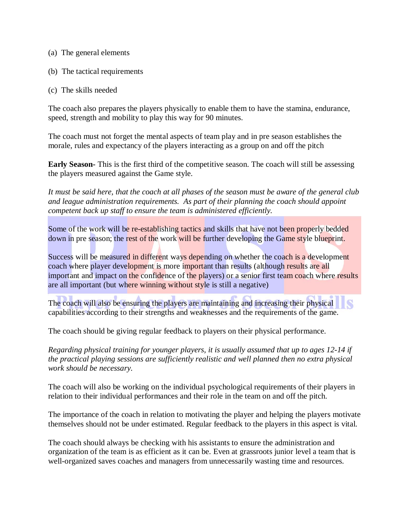- (a) The general elements
- (b) The tactical requirements
- (c) The skills needed

The coach also prepares the players physically to enable them to have the stamina, endurance, speed, strength and mobility to play this way for 90 minutes.

The coach must not forget the mental aspects of team play and in pre season establishes the morale, rules and expectancy of the players interacting as a group on and off the pitch

**Early Season-** This is the first third of the competitive season. The coach will still be assessing the players measured against the Game style.

*It must be said here, that the coach at all phases of the season must be aware of the general club and league administration requirements. As part of their planning the coach should appoint competent back up staff to ensure the team is administered efficiently.* 

Some of the work will be re-establishing tactics and skills that have not been properly bedded down in pre season; the rest of the work will be further developing the Game style blueprint.

Success will be measured in different ways depending on whether the coach is a development coach where player development is more important than results (although results are all important and impact on the confidence of the players) or a senior first team coach where results are all important (but where winning without style is still a negative)

The coach will also be ensuring the players are maintaining and increasing their physical capabilities according to their strengths and weaknesses and the requirements of the game.

The coach should be giving regular feedback to players on their physical performance.

*Regarding physical training for younger players, it is usually assumed that up to ages 12-14 if the practical playing sessions are sufficiently realistic and well planned then no extra physical work should be necessary.*

The coach will also be working on the individual psychological requirements of their players in relation to their individual performances and their role in the team on and off the pitch.

The importance of the coach in relation to motivating the player and helping the players motivate themselves should not be under estimated. Regular feedback to the players in this aspect is vital.

The coach should always be checking with his assistants to ensure the administration and organization of the team is as efficient as it can be. Even at grassroots junior level a team that is well-organized saves coaches and managers from unnecessarily wasting time and resources.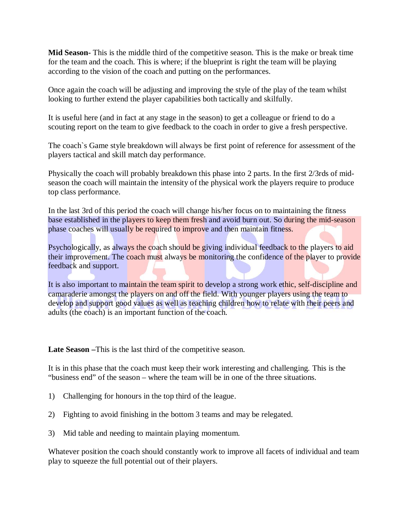**Mid Season-** This is the middle third of the competitive season. This is the make or break time for the team and the coach. This is where; if the blueprint is right the team will be playing according to the vision of the coach and putting on the performances.

Once again the coach will be adjusting and improving the style of the play of the team whilst looking to further extend the player capabilities both tactically and skilfully.

It is useful here (and in fact at any stage in the season) to get a colleague or friend to do a scouting report on the team to give feedback to the coach in order to give a fresh perspective.

The coach`s Game style breakdown will always be first point of reference for assessment of the players tactical and skill match day performance.

Physically the coach will probably breakdown this phase into 2 parts. In the first 2/3rds of midseason the coach will maintain the intensity of the physical work the players require to produce top class performance.

In the last 3rd of this period the coach will change his/her focus on to maintaining the fitness base established in the players to keep them fresh and avoid burn out. So during the mid-season phase coaches will usually be required to improve and then maintain fitness.

Psychologically, as always the coach should be giving individual feedback to the players to aid their improvement. The coach must always be monitoring the confidence of the player to provide feedback and support.

It is also important to maintain the team spirit to develop a strong work ethic, self-discipline and camaraderie amongst the players on and off the field. With younger players using the team to develop and support good values as well as teaching children how to relate with their peers and adults (the coach) is an important function of the coach.

Late Season –This is the last third of the competitive season.

It is in this phase that the coach must keep their work interesting and challenging. This is the "business end" of the season – where the team will be in one of the three situations.

- 1) Challenging for honours in the top third of the league.
- 2) Fighting to avoid finishing in the bottom 3 teams and may be relegated.
- 3) Mid table and needing to maintain playing momentum.

Whatever position the coach should constantly work to improve all facets of individual and team play to squeeze the full potential out of their players.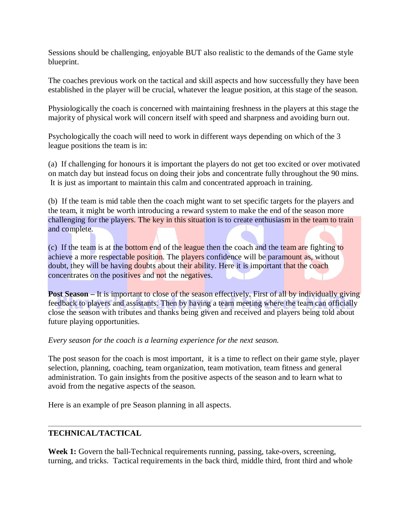Sessions should be challenging, enjoyable BUT also realistic to the demands of the Game style blueprint.

The coaches previous work on the tactical and skill aspects and how successfully they have been established in the player will be crucial, whatever the league position, at this stage of the season.

Physiologically the coach is concerned with maintaining freshness in the players at this stage the majority of physical work will concern itself with speed and sharpness and avoiding burn out.

Psychologically the coach will need to work in different ways depending on which of the 3 league positions the team is in:

(a) If challenging for honours it is important the players do not get too excited or over motivated on match day but instead focus on doing their jobs and concentrate fully throughout the 90 mins. It is just as important to maintain this calm and concentrated approach in training.

(b) If the team is mid table then the coach might want to set specific targets for the players and the team, it might be worth introducing a reward system to make the end of the season more challenging for the players. The key in this situation is to create enthusiasm in the team to train and complete.

(c) If the team is at the bottom end of the league then the coach and the team are fighting to achieve a more respectable position. The players confidence will be paramount as, without doubt, they will be having doubts about their ability. Here it is important that the coach concentrates on the positives and not the negatives.

**Post Season – It is important to close of the season effectively. First of all by individually giving** feedback to players and assistants. Then by having a team meeting where the team can officially close the season with tributes and thanks being given and received and players being told about future playing opportunities.

*Every season for the coach is a learning experience for the next season.*

The post season for the coach is most important, it is a time to reflect on their game style, player selection, planning, coaching, team organization, team motivation, team fitness and general administration. To gain insights from the positive aspects of the season and to learn what to avoid from the negative aspects of the season.

Here is an example of pre Season planning in all aspects.

# **TECHNICAL/TACTICAL**

**Week 1:** Govern the ball-Technical requirements running, passing, take-overs, screening, turning, and tricks. Tactical requirements in the back third, middle third, front third and whole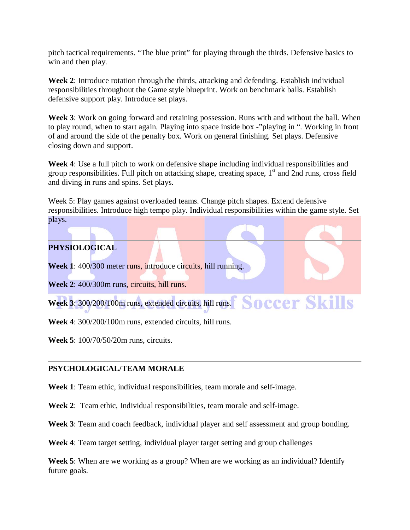pitch tactical requirements. "The blue print" for playing through the thirds. Defensive basics to win and then play.

**Week 2**: Introduce rotation through the thirds, attacking and defending. Establish individual responsibilities throughout the Game style blueprint. Work on benchmark balls. Establish defensive support play. Introduce set plays.

**Week 3**: Work on going forward and retaining possession. Runs with and without the ball. When to play round, when to start again. Playing into space inside box -"playing in ". Working in front of and around the side of the penalty box. Work on general finishing. Set plays. Defensive closing down and support.

**Week 4**: Use a full pitch to work on defensive shape including individual responsibilities and group responsibilities. Full pitch on attacking shape, creating space,  $1<sup>st</sup>$  and  $2nd$  runs, cross field and diving in runs and spins. Set plays.

Week 5: Play games against overloaded teams. Change pitch shapes. Extend defensive responsibilities. Introduce high tempo play. Individual responsibilities within the game style. Set plays.

**Soccer Skills** 

# **PHYSIOLOGICAL**

**Week 1**: 400/300 meter runs, introduce circuits, hill running.

**Week 2**: 400/300m runs, circuits, hill runs.

**Week 3**: 300/200/100m runs, extended circuits, hill runs.

**Week 4**: 300/200/100m runs, extended circuits, hill runs.

**Week 5**: 100/70/50/20m runs, circuits.

## **PSYCHOLOGICAL/TEAM MORALE**

**Week 1**: Team ethic, individual responsibilities, team morale and self-image.

**Week 2**: Team ethic, Individual responsibilities, team morale and self-image.

**Week 3**: Team and coach feedback, individual player and self assessment and group bonding.

**Week 4**: Team target setting, individual player target setting and group challenges

**Week 5**: When are we working as a group? When are we working as an individual? Identify future goals.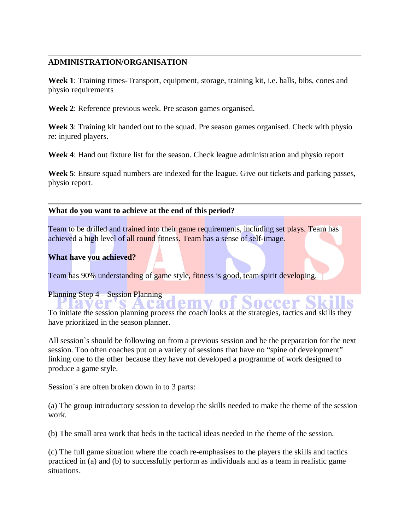#### **ADMINISTRATION/ORGANISATION**

**Week 1**: Training times-Transport, equipment, storage, training kit, i.e. balls, bibs, cones and physio requirements

**Week 2**: Reference previous week. Pre season games organised.

**Week 3**: Training kit handed out to the squad. Pre season games organised. Check with physio re: injured players.

**Week 4**: Hand out fixture list for the season. Check league administration and physio report

**Week 5**: Ensure squad numbers are indexed for the league. Give out tickets and parking passes, physio report.

#### **What do you want to achieve at the end of this period?**

Team to be drilled and trained into their game requirements, including set plays. Team has achieved a high level of all round fitness. Team has a sense of self-image.

#### **What have you achieved?**

Team has 90% understanding of game style, fitness is good, team spirit developing.

#### Planning Step 4 – Session Planning

**Academy of** To initiate the session planning process the coach looks at the strategies, tactics and skills they have prioritized in the season planner.

All session`s should be following on from a previous session and be the preparation for the next session. Too often coaches put on a variety of sessions that have no "spine of development" linking one to the other because they have not developed a programme of work designed to produce a game style.

Session`s are often broken down in to 3 parts:

(a) The group introductory session to develop the skills needed to make the theme of the session work.

(b) The small area work that beds in the tactical ideas needed in the theme of the session.

(c) The full game situation where the coach re-emphasises to the players the skills and tactics practiced in (a) and (b) to successfully perform as individuals and as a team in realistic game situations.